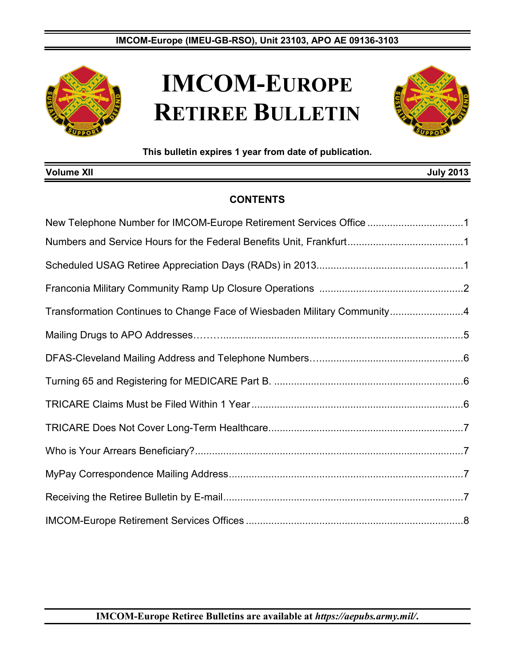

# **IMCOM-EUROPE RETIREE BULLETIN**



**This bulletin expires 1 year from date of publication.**

| <b>Volume XII</b>                                                        | <b>July 2013</b> |  |
|--------------------------------------------------------------------------|------------------|--|
| <b>CONTENTS</b>                                                          |                  |  |
| New Telephone Number for IMCOM-Europe Retirement Services Office 1       |                  |  |
|                                                                          |                  |  |
|                                                                          |                  |  |
|                                                                          |                  |  |
| Transformation Continues to Change Face of Wiesbaden Military Community4 |                  |  |
|                                                                          |                  |  |
|                                                                          |                  |  |
|                                                                          |                  |  |
|                                                                          |                  |  |
|                                                                          |                  |  |
|                                                                          |                  |  |
|                                                                          |                  |  |
|                                                                          |                  |  |
|                                                                          |                  |  |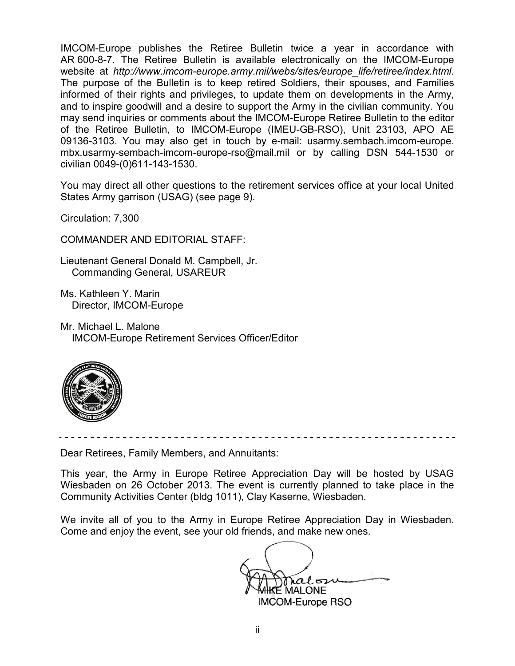IMCOM-Europe publishes the Retiree Bulletin twice a year in accordance with AR 600-8-7. The Retiree Bulletin is available electronically on the IMCOM-Europe website at *[http://www.imcom-europe.army.mil/webs/sites/europe\\_life/retiree/index.html](http://www.imcom-europe.army.mil/webs/sites/europe_life/retiree/index.html)*. The purpose of the Bulletin is to keep retired Soldiers, their spouses, and Families informed of their rights and privileges, to update them on developments in the Army, and to inspire goodwill and a desire to support the Army in the civilian community. You may send inquiries or comments about the IMCOM-Europe Retiree Bulletin to the editor of the Retiree Bulletin, to IMCOM-Europe (IMEU-GB-RSO), Unit 23103, APO AE 09136-3103. You may also get in touch by e-mail: [usarmy.sembach.imcom-europe.](mailto:usarmy.sembach.imcom-europe.mbx.usarmy-sembach.imcom-europe-rso@mail.mil) [mbx.usarmy-sembach-imcom-europe-rso@mail.mil](mailto:usarmy.sembach.imcom-europe.mbx.usarmy-sembach.imcom-europe-rso@mail.mil) or by calling DSN 544-1530 or civilian 0049-(0)611-143-1530.

You may direct all other questions to the retirement services office at your local United States Army garrison (USAG) (see page 9).

Circulation: 7,300

COMMANDER AND EDITORIAL STAFF:

Lieutenant General Donald M. Campbell, Jr. Commanding General, USAREUR

Ms. Kathleen Y. Marin Director, IMCOM-Europe

Mr. Michael L. Malone IMCOM-Europe Retirement Services Officer/Editor



Dear Retirees, Family Members, and Annuitants:

This year, the Army in Europe Retiree Appreciation Day will be hosted by USAG Wiesbaden on 26 October 2013. The event is currently planned to take place in the Community Activities Center (bldg 1011), Clay Kaserne, Wiesbaden.

We invite all of you to the Army in Europe Retiree Appreciation Day in Wiesbaden. Come and enjoy the event, see your old friends, and make new ones.

ralosu E MALONE. IMCOM-Europe RSO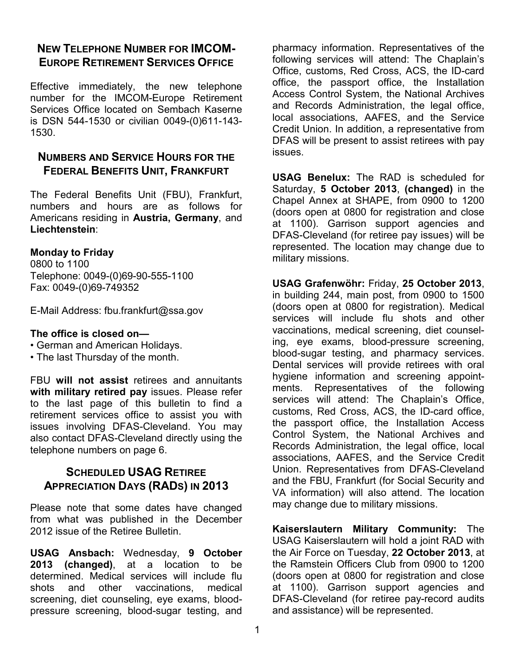### **NEW TELEPHONE NUMBER FOR IMCOM-EUROPE RETIREMENT SERVICES OFFICE**

Effective immediately, the new telephone number for the IMCOM-Europe Retirement Services Office located on Sembach Kaserne is DSN 544-1530 or civilian 0049-(0)611-143- 1530.

### **NUMBERS AND SERVICE HOURS FOR THE FEDERAL BENEFITS UNIT, FRANKFURT**

The Federal Benefits Unit (FBU), Frankfurt, numbers and hours are as follows for Americans residing in **Austria, Germany**, and **Liechtenstein**:

#### **Monday to Friday**

0800 to 1100 Telephone: 0049-(0)69-90-555-1100 Fax: 0049-(0)69-749352

E-Mail Address: [fbu.frankfurt@ssa.gov](mailto:fbu.frankfurt@ssa.gov)

#### **The office is closed on—**

- German and American Holidays.
- The last Thursday of the month.

FBU **will not assist** retirees and annuitants **with military retired pay** issues. Please refer to the last page of this bulletin to find a retirement services office to assist you with issues involving DFAS-Cleveland. You may also contact DFAS-Cleveland directly using the telephone numbers on page 6.

### **SCHEDULED USAG RETIREE APPRECIATION DAYS (RADS) IN 2013**

Please note that some dates have changed from what was published in the December 2012 issue of the Retiree Bulletin.

**USAG Ansbach:** Wednesday, **9 October 2013 (changed)**, at a location to be determined. Medical services will include flu shots and other vaccinations, medical screening, diet counseling, eye exams, bloodpressure screening, blood-sugar testing, and pharmacy information. Representatives of the following services will attend: The Chaplain's Office, customs, Red Cross, ACS, the ID-card office, the passport office, the Installation Access Control System, the National Archives and Records Administration, the legal office, local associations, AAFES, and the Service Credit Union. In addition, a representative from DFAS will be present to assist retirees with pay issues.

**USAG Benelux:** The RAD is scheduled for Saturday, **5 October 2013**, **(changed)** in the Chapel Annex at SHAPE, from 0900 to 1200 (doors open at 0800 for registration and close at 1100). Garrison support agencies and DFAS-Cleveland (for retiree pay issues) will be represented. The location may change due to military missions.

**USAG Grafenwöhr:** Friday, **25 October 2013**, in building 244, main post, from 0900 to 1500 (doors open at 0800 for registration). Medical services will include flu shots and other vaccinations, medical screening, diet counseling, eye exams, blood-pressure screening, blood-sugar testing, and pharmacy services. Dental services will provide retirees with oral hygiene information and screening appointments. Representatives of the following services will attend: The Chaplain's Office, customs, Red Cross, ACS, the ID-card office, the passport office, the Installation Access Control System, the National Archives and Records Administration, the legal office, local associations, AAFES, and the Service Credit Union. Representatives from DFAS-Cleveland and the FBU, Frankfurt (for Social Security and VA information) will also attend. The location may change due to military missions.

**Kaiserslautern Military Community:** The USAG Kaiserslautern will hold a joint RAD with the Air Force on Tuesday, **22 October 2013**, at the Ramstein Officers Club from 0900 to 1200 (doors open at 0800 for registration and close at 1100). Garrison support agencies and DFAS-Cleveland (for retiree pay-record audits and assistance) will be represented.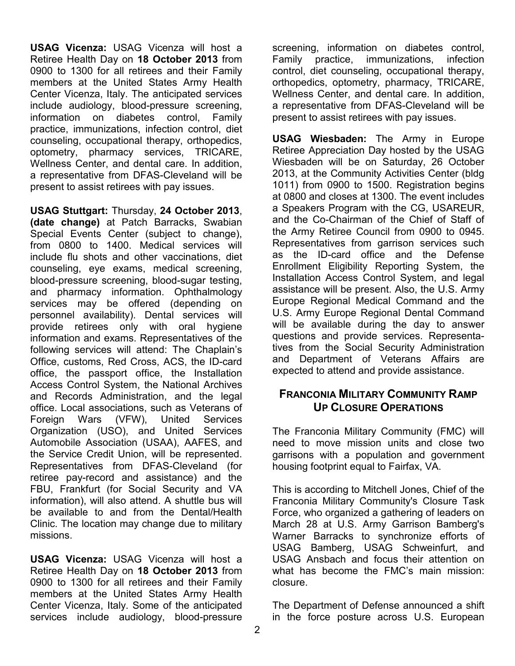**USAG Vicenza:** USAG Vicenza will host a Retiree Health Day on **18 October 2013** from 0900 to 1300 for all retirees and their Family members at the United States Army Health Center Vicenza, Italy. The anticipated services include audiology, blood-pressure screening, information on diabetes control, Family practice, immunizations, infection control, diet counseling, occupational therapy, orthopedics, optometry, pharmacy services, TRICARE, Wellness Center, and dental care. In addition, a representative from DFAS-Cleveland will be present to assist retirees with pay issues.

**USAG Stuttgart:** Thursday, **24 October 2013**, **(date change)** at Patch Barracks, Swabian Special Events Center (subject to change), from 0800 to 1400. Medical services will include flu shots and other vaccinations, diet counseling, eye exams, medical screening, blood-pressure screening, blood-sugar testing, and pharmacy information. Ophthalmology services may be offered (depending on personnel availability). Dental services will provide retirees only with oral hygiene information and exams. Representatives of the following services will attend: The Chaplain's Office, customs, Red Cross, ACS, the ID-card office, the passport office, the Installation Access Control System, the National Archives and Records Administration, and the legal office. Local associations, such as Veterans of Foreign Wars (VFW), United Services Organization (USO), and United Services Automobile Association (USAA), AAFES, and the Service Credit Union, will be represented. Representatives from DFAS-Cleveland (for retiree pay-record and assistance) and the FBU, Frankfurt (for Social Security and VA information), will also attend. A shuttle bus will be available to and from the Dental/Health Clinic. The location may change due to military missions.

**USAG Vicenza:** USAG Vicenza will host a Retiree Health Day on **18 October 2013** from 0900 to 1300 for all retirees and their Family members at the United States Army Health Center Vicenza, Italy. Some of the anticipated services include audiology, blood-pressure

screening, information on diabetes control, Family practice, immunizations, infection control, diet counseling, occupational therapy, orthopedics, optometry, pharmacy, TRICARE, Wellness Center, and dental care. In addition, a representative from DFAS-Cleveland will be present to assist retirees with pay issues.

**USAG Wiesbaden:** The Army in Europe Retiree Appreciation Day hosted by the USAG Wiesbaden will be on Saturday, 26 October 2013, at the Community Activities Center (bldg 1011) from 0900 to 1500. Registration begins at 0800 and closes at 1300. The event includes a Speakers Program with the CG, USAREUR, and the Co-Chairman of the Chief of Staff of the Army Retiree Council from 0900 to 0945. Representatives from garrison services such as the ID-card office and the Defense Enrollment Eligibility Reporting System, the Installation Access Control System, and legal assistance will be present. Also, the U.S. Army Europe Regional Medical Command and the U.S. Army Europe Regional Dental Command will be available during the day to answer questions and provide services. Representatives from the Social Security Administration and Department of Veterans Affairs are expected to attend and provide assistance.

### **FRANCONIA MILITARY COMMUNITY RAMP UP CLOSURE OPERATIONS**

The Franconia Military Community (FMC) will need to move mission units and close two garrisons with a population and government housing footprint equal to Fairfax, VA.

This is according to Mitchell Jones, Chief of the Franconia Military Community's Closure Task Force, who organized a gathering of leaders on March 28 at U.S. Army Garrison Bamberg's Warner Barracks to synchronize efforts of USAG Bamberg, USAG Schweinfurt, and USAG Ansbach and focus their attention on what has become the FMC's main mission: closure.

The Department of Defense announced a shift in the force posture across U.S. European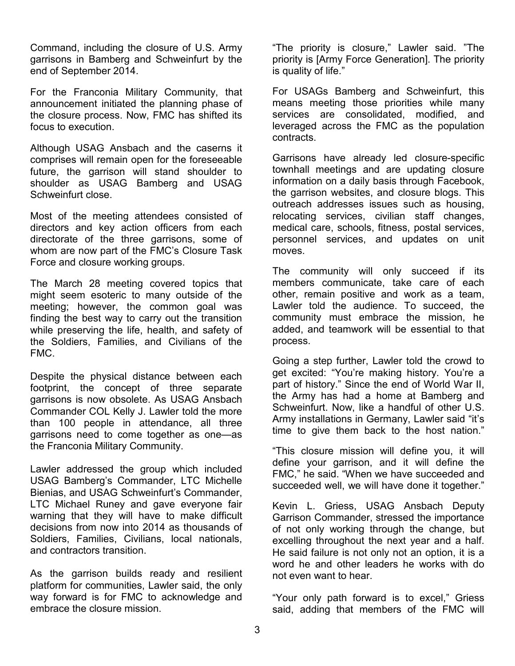Command, including the closure of U.S. Army garrisons in Bamberg and Schweinfurt by the end of September 2014.

For the Franconia Military Community, that announcement initiated the planning phase of the closure process. Now, FMC has shifted its focus to execution.

Although USAG Ansbach and the caserns it comprises will remain open for the foreseeable future, the garrison will stand shoulder to shoulder as USAG Bamberg and USAG Schweinfurt close.

Most of the meeting attendees consisted of directors and key action officers from each directorate of the three garrisons, some of whom are now part of the FMC's Closure Task Force and closure working groups.

The March 28 meeting covered topics that might seem esoteric to many outside of the meeting; however, the common goal was finding the best way to carry out the transition while preserving the life, health, and safety of the Soldiers, Families, and Civilians of the FMC.

Despite the physical distance between each footprint, the concept of three separate garrisons is now obsolete. As USAG Ansbach Commander COL Kelly J. Lawler told the more than 100 people in attendance, all three garrisons need to come together as one—as the Franconia Military Community.

Lawler addressed the group which included USAG Bamberg's Commander, LTC Michelle Bienias, and USAG Schweinfurt's Commander, LTC Michael Runey and gave everyone fair warning that they will have to make difficult decisions from now into 2014 as thousands of Soldiers, Families, Civilians, local nationals, and contractors transition.

As the garrison builds ready and resilient platform for communities, Lawler said, the only way forward is for FMC to acknowledge and embrace the closure mission.

"The priority is closure," Lawler said. "The priority is [Army Force Generation]. The priority is quality of life."

For USAGs Bamberg and Schweinfurt, this means meeting those priorities while many services are consolidated, modified, and leveraged across the FMC as the population contracts.

Garrisons have already led closure-specific townhall meetings and are updating closure information on a daily basis through Facebook, the garrison websites, and closure blogs. This outreach addresses issues such as housing, relocating services, civilian staff changes, medical care, schools, fitness, postal services, personnel services, and updates on unit moves.

The community will only succeed if its members communicate, take care of each other, remain positive and work as a team, Lawler told the audience. To succeed, the community must embrace the mission, he added, and teamwork will be essential to that process.

Going a step further, Lawler told the crowd to get excited: "You're making history. You're a part of history." Since the end of World War II, the Army has had a home at Bamberg and Schweinfurt. Now, like a handful of other U.S. Army installations in Germany, Lawler said "it's time to give them back to the host nation."

"This closure mission will define you, it will define your garrison, and it will define the FMC," he said. "When we have succeeded and succeeded well, we will have done it together."

Kevin L. Griess, USAG Ansbach Deputy Garrison Commander, stressed the importance of not only working through the change, but excelling throughout the next year and a half. He said failure is not only not an option, it is a word he and other leaders he works with do not even want to hear.

"Your only path forward is to excel," Griess said, adding that members of the FMC will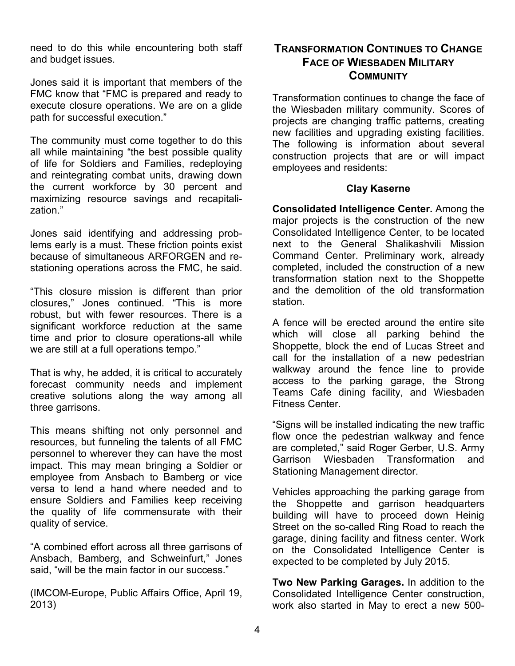need to do this while encountering both staff and budget issues.

Jones said it is important that members of the FMC know that "FMC is prepared and ready to execute closure operations. We are on a glide path for successful execution."

The community must come together to do this all while maintaining "the best possible quality of life for Soldiers and Families, redeploying and reintegrating combat units, drawing down the current workforce by 30 percent and maximizing resource savings and recapitalization."

Jones said identifying and addressing problems early is a must. These friction points exist because of simultaneous ARFORGEN and restationing operations across the FMC, he said.

"This closure mission is different than prior closures," Jones continued. "This is more robust, but with fewer resources. There is a significant workforce reduction at the same time and prior to closure operations-all while we are still at a full operations tempo."

That is why, he added, it is critical to accurately forecast community needs and implement creative solutions along the way among all three garrisons.

This means shifting not only personnel and resources, but funneling the talents of all FMC personnel to wherever they can have the most impact. This may mean bringing a Soldier or employee from Ansbach to Bamberg or vice versa to lend a hand where needed and to ensure Soldiers and Families keep receiving the quality of life commensurate with their quality of service.

"A combined effort across all three garrisons of Ansbach, Bamberg, and Schweinfurt," Jones said, "will be the main factor in our success."

(IMCOM-Europe, Public Affairs Office, April 19, 2013)

### **TRANSFORMATION CONTINUES TO CHANGE FACE OF WIESBADEN MILITARY COMMUNITY**

Transformation continues to change the face of the Wiesbaden military community. Scores of projects are changing traffic patterns, creating new facilities and upgrading existing facilities. The following is information about several construction projects that are or will impact employees and residents:

#### **Clay Kaserne**

**Consolidated Intelligence Center.** Among the major projects is the construction of the new Consolidated Intelligence Center, to be located next to the General Shalikashvili Mission Command Center. Preliminary work, already completed, included the construction of a new transformation station next to the Shoppette and the demolition of the old transformation station.

A fence will be erected around the entire site which will close all parking behind the Shoppette, block the end of Lucas Street and call for the installation of a new pedestrian walkway around the fence line to provide access to the parking garage, the Strong Teams Cafe dining facility, and Wiesbaden Fitness Center.

"Signs will be installed indicating the new traffic flow once the pedestrian walkway and fence are completed," said Roger Gerber, U.S. Army Garrison Wiesbaden Transformation and Stationing Management director.

Vehicles approaching the parking garage from the Shoppette and garrison headquarters building will have to proceed down Heinig Street on the so-called Ring Road to reach the garage, dining facility and fitness center. Work on the Consolidated Intelligence Center is expected to be completed by July 2015.

**Two New Parking Garages.** In addition to the Consolidated Intelligence Center construction, work also started in May to erect a new 500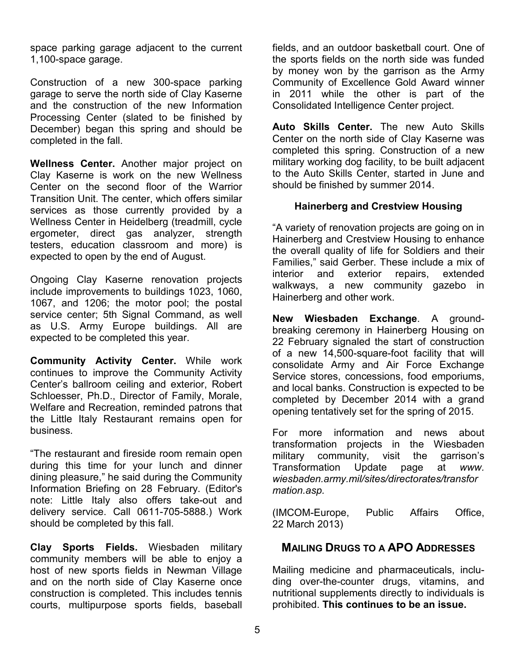space parking garage adjacent to the current 1,100-space garage.

Construction of a new 300-space parking garage to serve the north side of Clay Kaserne and the construction of the new Information Processing Center (slated to be finished by December) began this spring and should be completed in the fall.

**Wellness Center.** Another major project on Clay Kaserne is work on the new Wellness Center on the second floor of the Warrior Transition Unit. The center, which offers similar services as those currently provided by a Wellness Center in Heidelberg (treadmill, cycle ergometer, direct gas analyzer, strength testers, education classroom and more) is expected to open by the end of August.

Ongoing Clay Kaserne renovation projects include improvements to buildings 1023, 1060, 1067, and 1206; the motor pool; the postal service center; 5th Signal Command, as well as U.S. Army Europe buildings. All are expected to be completed this year.

**Community Activity Center.** While work continues to improve the Community Activity Center's ballroom ceiling and exterior, Robert Schloesser, Ph.D., Director of Family, Morale, Welfare and Recreation, reminded patrons that the Little Italy Restaurant remains open for business.

"The restaurant and fireside room remain open during this time for your lunch and dinner dining pleasure," he said during the Community Information Briefing on 28 February. (Editor's note: Little Italy also offers take-out and delivery service. Call 0611-705-5888.) Work should be completed by this fall.

**Clay Sports Fields.** Wiesbaden military community members will be able to enjoy a host of new sports fields in Newman Village and on the north side of Clay Kaserne once construction is completed. This includes tennis courts, multipurpose sports fields, baseball

fields, and an outdoor basketball court. One of the sports fields on the north side was funded by money won by the garrison as the Army Community of Excellence Gold Award winner in 2011 while the other is part of the Consolidated Intelligence Center project.

**Auto Skills Center.** The new Auto Skills Center on the north side of Clay Kaserne was completed this spring. Construction of a new military working dog facility, to be built adjacent to the Auto Skills Center, started in June and should be finished by summer 2014.

#### **Hainerberg and Crestview Housing**

"A variety of renovation projects are going on in Hainerberg and Crestview Housing to enhance the overall quality of life for Soldiers and their Families," said Gerber. These include a mix of interior and exterior repairs, extended walkways, a new community gazebo in Hainerberg and other work.

**New Wiesbaden Exchange**. A groundbreaking ceremony in Hainerberg Housing on 22 February signaled the start of construction of a new 14,500-square-foot facility that will consolidate Army and Air Force Exchange Service stores, concessions, food emporiums, and local banks. Construction is expected to be completed by December 2014 with a grand opening tentatively set for the spring of 2015.

For more information and news about transformation projects in the Wiesbaden military community, visit the garrison's<br>Transformation Update page at www. Transformation Update page at *[www.](http://www.wiesbaden.army.mil/sites/directorates/transformation.asp) [wiesbaden.army.mil/sites/directorates/transfor](http://www.wiesbaden.army.mil/sites/directorates/transformation.asp) [mation.asp.](http://www.wiesbaden.army.mil/sites/directorates/transformation.asp)*

(IMCOM-Europe, Public Affairs Office, 22 March 2013)

### **MAILING DRUGS TO A APO ADDRESSES**

Mailing medicine and pharmaceuticals, including over-the-counter drugs, vitamins, and nutritional supplements directly to individuals is prohibited. **This continues to be an issue.**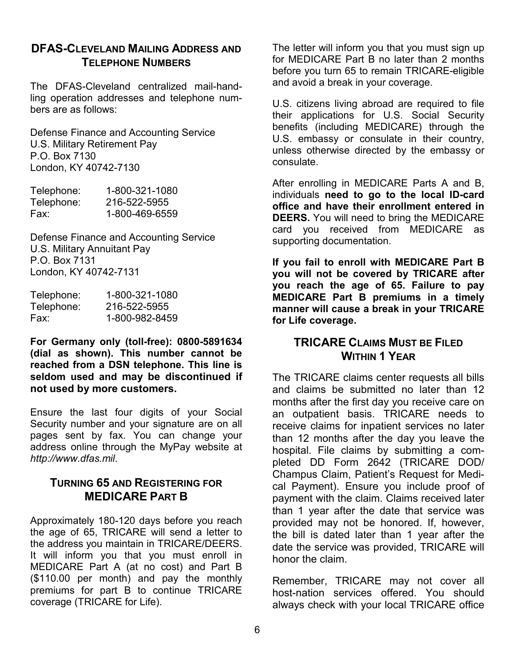#### **DFAS-CLEVELAND MAILING ADDRESS AND TELEPHONE NUMBERS**

The DFAS-Cleveland centralized mail-handling operation addresses and telephone numbers are as follows:

Defense Finance and Accounting Service U.S. Military Retirement Pay P.O. Box 7130 London, KY 40742-7130

| Telephone: | 1-800-321-1080 |
|------------|----------------|
| Telephone: | 216-522-5955   |
| Fax:       | 1-800-469-6559 |

Defense Finance and Accounting Service U.S. Military Annuitant Pay P.O. Box 7131 London, KY 40742-7131

| Telephone: | 1-800-321-1080 |
|------------|----------------|
| Telephone: | 216-522-5955   |
| Fax:       | 1-800-982-8459 |

**For Germany only (toll-free): 0800-5891634 (dial as shown). This number cannot be reached from a DSN telephone. This line is seldom used and may be discontinued if not used by more customers.**

Ensure the last four digits of your Social Security number and your signature are on all pages sent by fax. You can change your address online through the MyPay website at *[http://www.dfas.mil](http://www.dfas.mil/)*.

### **TURNING 65 AND REGISTERING FOR MEDICARE PART B**

Approximately 180-120 days before you reach the age of 65, TRICARE will send a letter to the address you maintain in TRICARE/DEERS. It will inform you that you must enroll in MEDICARE Part A (at no cost) and Part B (\$110.00 per month) and pay the monthly premiums for part B to continue TRICARE coverage (TRICARE for Life).

The letter will inform you that you must sign up for MEDICARE Part B no later than 2 months before you turn 65 to remain TRICARE-eligible and avoid a break in your coverage.

U.S. citizens living abroad are required to file their applications for U.S. Social Security benefits (including MEDICARE) through the U.S. embassy or consulate in their country, unless otherwise directed by the embassy or consulate.

After enrolling in MEDICARE Parts A and B, individuals **need to go to the local ID-card office and have their enrollment entered in DEERS.** You will need to bring the MEDICARE card you received from MEDICARE as supporting documentation.

**If you fail to enroll with MEDICARE Part B you will not be covered by TRICARE after you reach the age of 65. Failure to pay MEDICARE Part B premiums in a timely manner will cause a break in your TRICARE for Life coverage.** 

### **TRICARE CLAIMS MUST BE FILED WITHIN 1 YEAR**

The TRICARE claims center requests all bills and claims be submitted no later than 12 months after the first day you receive care on an outpatient basis. TRICARE needs to receive claims for inpatient services no later than 12 months after the day you leave the hospital. File claims by submitting a completed DD Form 2642 (TRICARE DOD/ Champus Claim, Patient's Request for Medical Payment). Ensure you include proof of payment with the claim. Claims received later than 1 year after the date that service was provided may not be honored. If, however, the bill is dated later than 1 year after the date the service was provided, TRICARE will honor the claim.

Remember, TRICARE may not cover all host-nation services offered. You should always check with your local TRICARE office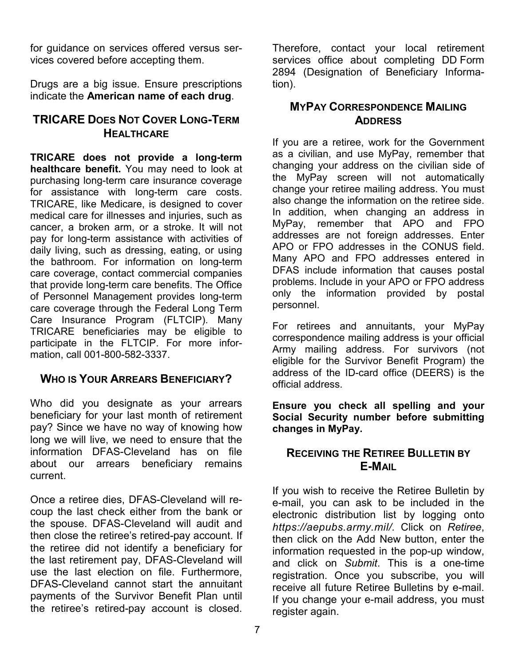for guidance on services offered versus services covered before accepting them.

Drugs are a big issue. Ensure prescriptions indicate the **American name of each drug**.

### **TRICARE DOES NOT COVER LONG-TERM HEALTHCARE**

**TRICARE does not provide a long-term healthcare benefit.** You may need to look at purchasing long-term care insurance coverage for assistance with long-term care costs. TRICARE, like Medicare, is designed to cover medical care for illnesses and injuries, such as cancer, a broken arm, or a stroke. It will not pay for long-term assistance with activities of daily living, such as dressing, eating, or using the bathroom. For information on long-term care coverage, contact commercial companies that provide long-term care benefits. The Office of Personnel Management provides long-term care coverage through the Federal Long Term Care Insurance Program (FLTCIP). Many TRICARE beneficiaries may be eligible to participate in the FLTCIP. For more information, call 001-800-582-3337.

### **WHO IS YOUR ARREARS BENEFICIARY?**

Who did you designate as your arrears beneficiary for your last month of retirement pay? Since we have no way of knowing how long we will live, we need to ensure that the information DFAS-Cleveland has on file about our arrears beneficiary remains current.

Once a retiree dies, DFAS-Cleveland will recoup the last check either from the bank or the spouse. DFAS-Cleveland will audit and then close the retiree's retired-pay account. If the retiree did not identify a beneficiary for the last retirement pay, DFAS-Cleveland will use the last election on file. Furthermore, DFAS-Cleveland cannot start the annuitant payments of the Survivor Benefit Plan until the retiree's retired-pay account is closed.

Therefore, contact your local retirement services office about completing DD Form 2894 (Designation of Beneficiary Information).

#### **MYPAY CORRESPONDENCE MAILING ADDRESS**

If you are a retiree, work for the Government as a civilian, and use MyPay, remember that changing your address on the civilian side of the MyPay screen will not automatically change your retiree mailing address. You must also change the information on the retiree side. In addition, when changing an address in MyPay, remember that APO and FPO addresses are not foreign addresses. Enter APO or FPO addresses in the CONUS field. Many APO and FPO addresses entered in DFAS include information that causes postal problems. Include in your APO or FPO address only the information provided by postal personnel.

For retirees and annuitants, your MyPay correspondence mailing address is your official Army mailing address. For survivors (not eligible for the Survivor Benefit Program) the address of the ID-card office (DEERS) is the official address.

**Ensure you check all spelling and your Social Security number before submitting changes in MyPay.**

### **RECEIVING THE RETIREE BULLETIN BY E-MAIL**

If you wish to receive the Retiree Bulletin by e-mail, you can ask to be included in the electronic distribution list by logging onto *[https://aepubs.army.mil/.](https://aepubs.army.mil/)* Click on *Retiree*, then click on the Add New button, enter the information requested in the pop-up window, and click on *Submit*. This is a one-time registration. Once you subscribe, you will receive all future Retiree Bulletins by e-mail. If you change your e-mail address, you must register again.